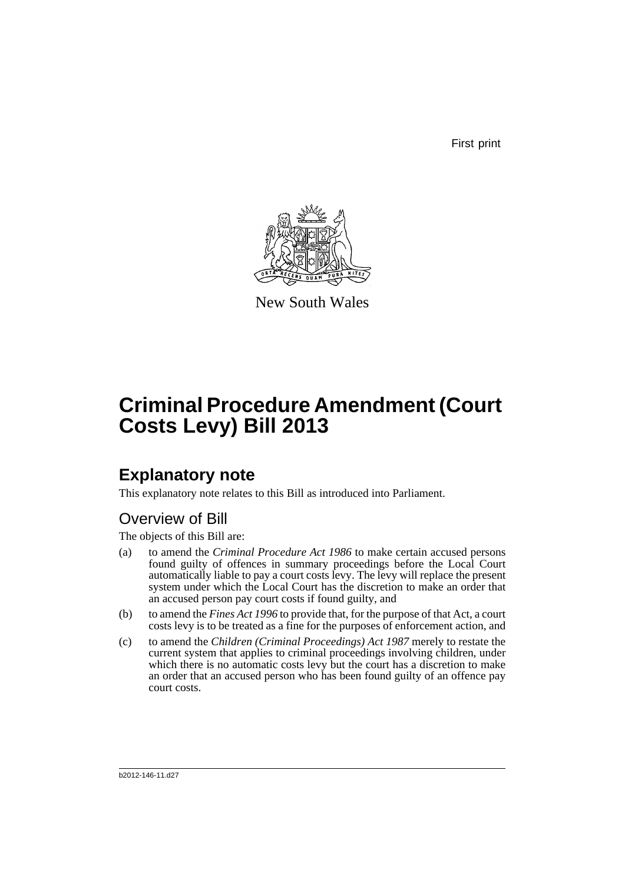First print



New South Wales

# **Criminal Procedure Amendment (Court Costs Levy) Bill 2013**

# **Explanatory note**

This explanatory note relates to this Bill as introduced into Parliament.

## Overview of Bill

The objects of this Bill are:

- (a) to amend the *Criminal Procedure Act 1986* to make certain accused persons found guilty of offences in summary proceedings before the Local Court automatically liable to pay a court costs levy. The levy will replace the present system under which the Local Court has the discretion to make an order that an accused person pay court costs if found guilty, and
- (b) to amend the *Fines Act 1996* to provide that, for the purpose of that Act, a court costs levy is to be treated as a fine for the purposes of enforcement action, and
- (c) to amend the *Children (Criminal Proceedings) Act 1987* merely to restate the current system that applies to criminal proceedings involving children, under which there is no automatic costs levy but the court has a discretion to make an order that an accused person who has been found guilty of an offence pay court costs.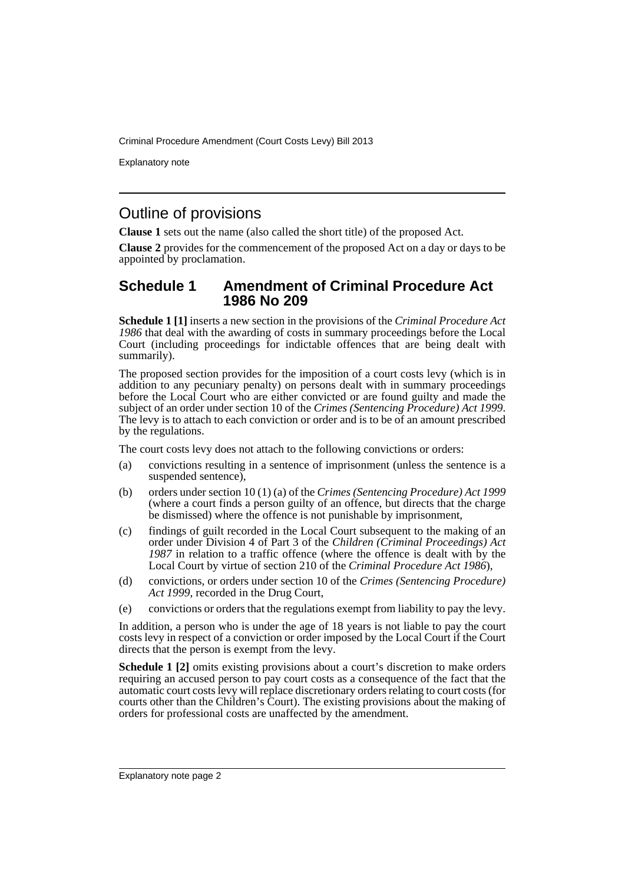Explanatory note

### Outline of provisions

**Clause 1** sets out the name (also called the short title) of the proposed Act.

**Clause 2** provides for the commencement of the proposed Act on a day or days to be appointed by proclamation.

### **Schedule 1 Amendment of Criminal Procedure Act 1986 No 209**

**Schedule 1 [1]** inserts a new section in the provisions of the *Criminal Procedure Act 1986* that deal with the awarding of costs in summary proceedings before the Local Court (including proceedings for indictable offences that are being dealt with summarily).

The proposed section provides for the imposition of a court costs levy (which is in addition to any pecuniary penalty) on persons dealt with in summary proceedings before the Local Court who are either convicted or are found guilty and made the subject of an order under section 10 of the Crimes (Sentencing Procedure) Act 1999. The levy is to attach to each conviction or order and is to be of an amount prescribed by the regulations.

The court costs levy does not attach to the following convictions or orders:

- (a) convictions resulting in a sentence of imprisonment (unless the sentence is a suspended sentence),
- (b) orders under section 10 (1) (a) of the *Crimes (Sentencing Procedure) Act 1999* (where a court finds a person guilty of an offence, but directs that the charge be dismissed) where the offence is not punishable by imprisonment,
- (c) findings of guilt recorded in the Local Court subsequent to the making of an order under Division 4 of Part 3 of the *Children (Criminal Proceedings) Act 1987* in relation to a traffic offence (where the offence is dealt with by the Local Court by virtue of section 210 of the *Criminal Procedure Act 1986*),
- (d) convictions, or orders under section 10 of the *Crimes (Sentencing Procedure) Act 1999*, recorded in the Drug Court,
- (e) convictions or orders that the regulations exempt from liability to pay the levy.

In addition, a person who is under the age of 18 years is not liable to pay the court costs levy in respect of a conviction or order imposed by the Local Court if the Court directs that the person is exempt from the levy.

**Schedule 1 [2]** omits existing provisions about a court's discretion to make orders requiring an accused person to pay court costs as a consequence of the fact that the automatic court costs levy will replace discretionary orders relating to court costs (for courts other than the Children's Court). The existing provisions about the making of orders for professional costs are unaffected by the amendment.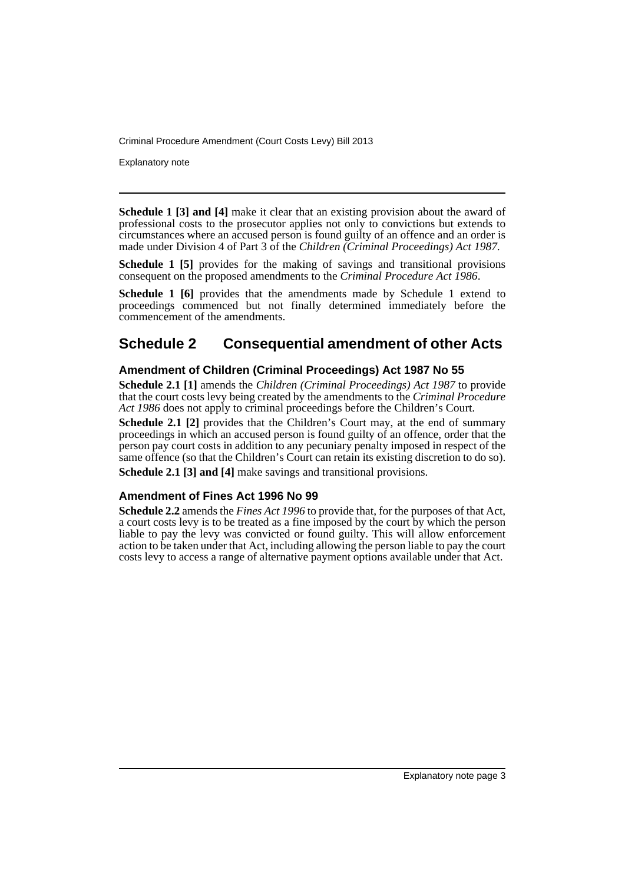Explanatory note

**Schedule 1 [3] and [4]** make it clear that an existing provision about the award of professional costs to the prosecutor applies not only to convictions but extends to circumstances where an accused person is found guilty of an offence and an order is made under Division 4 of Part 3 of the *Children (Criminal Proceedings) Act 1987*.

**Schedule 1 [5]** provides for the making of savings and transitional provisions consequent on the proposed amendments to the *Criminal Procedure Act 1986*.

**Schedule 1 [6]** provides that the amendments made by Schedule 1 extend to proceedings commenced but not finally determined immediately before the commencement of the amendments.

### **Schedule 2 Consequential amendment of other Acts**

#### **Amendment of Children (Criminal Proceedings) Act 1987 No 55**

**Schedule 2.1 [1]** amends the *Children (Criminal Proceedings) Act 1987* to provide that the court costs levy being created by the amendments to the *Criminal Procedure Act 1986* does not apply to criminal proceedings before the Children's Court.

**Schedule 2.1 [2]** provides that the Children's Court may, at the end of summary proceedings in which an accused person is found guilty of an offence, order that the person pay court costs in addition to any pecuniary penalty imposed in respect of the same offence (so that the Children's Court can retain its existing discretion to do so). **Schedule 2.1 [3] and [4]** make savings and transitional provisions.

### **Amendment of Fines Act 1996 No 99**

**Schedule 2.2** amends the *Fines Act 1996* to provide that, for the purposes of that Act, a court costs levy is to be treated as a fine imposed by the court by which the person liable to pay the levy was convicted or found guilty. This will allow enforcement action to be taken under that Act, including allowing the person liable to pay the court costs levy to access a range of alternative payment options available under that Act.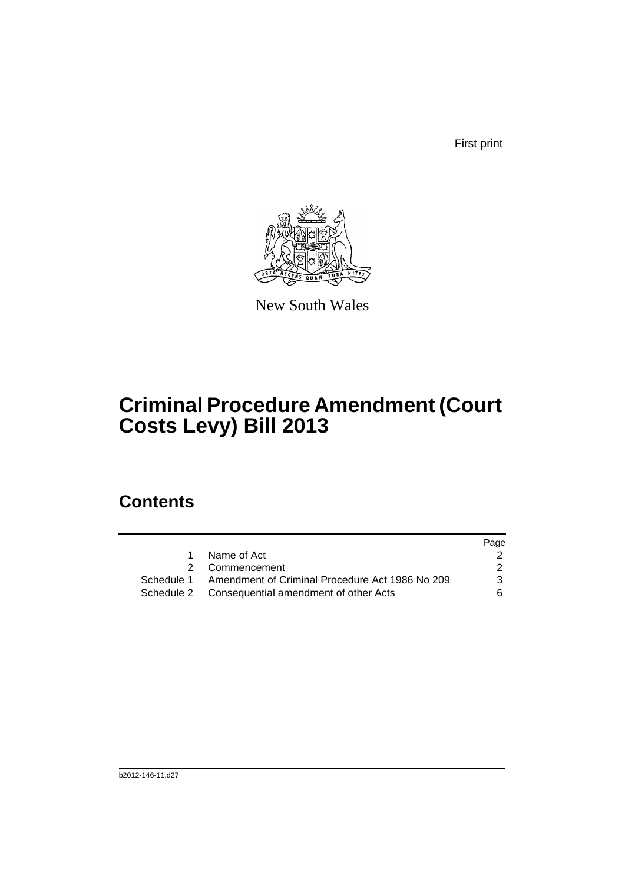First print



New South Wales

# **Criminal Procedure Amendment (Court Costs Levy) Bill 2013**

# **Contents**

|   |                                                            | Page |
|---|------------------------------------------------------------|------|
| 1 | Name of Act                                                |      |
|   | 2 Commencement                                             | 2    |
|   | Schedule 1 Amendment of Criminal Procedure Act 1986 No 209 | 3    |
|   | Schedule 2 Consequential amendment of other Acts           | 6.   |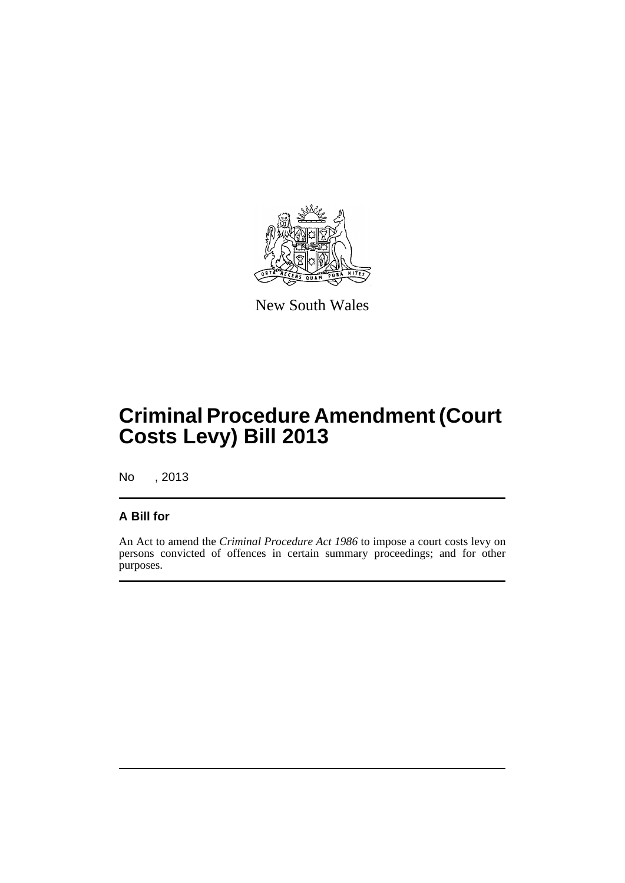

New South Wales

# **Criminal Procedure Amendment (Court Costs Levy) Bill 2013**

No , 2013

### **A Bill for**

An Act to amend the *Criminal Procedure Act 1986* to impose a court costs levy on persons convicted of offences in certain summary proceedings; and for other purposes.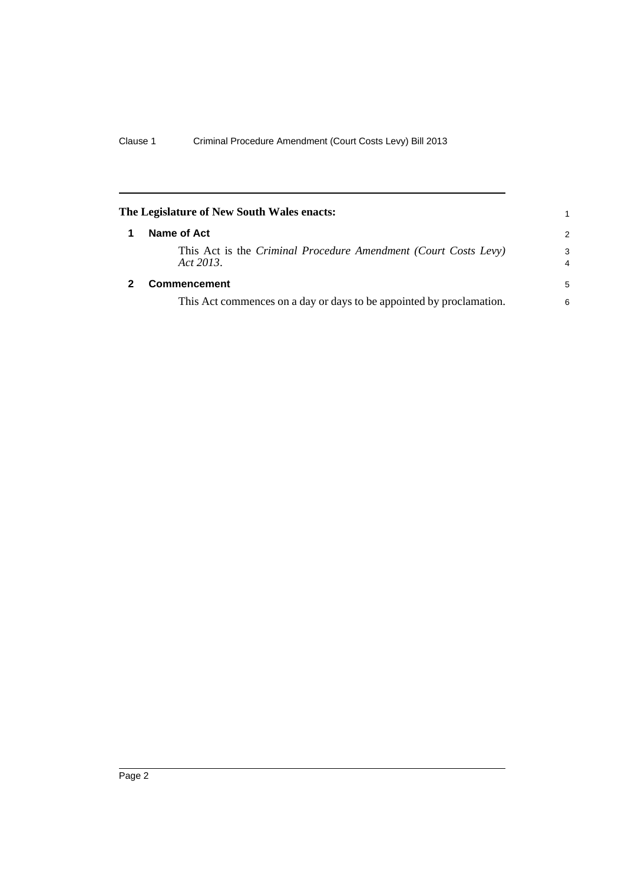<span id="page-7-1"></span><span id="page-7-0"></span>

|   | The Legislature of New South Wales enacts:                                          |        |
|---|-------------------------------------------------------------------------------------|--------|
| 1 | Name of Act                                                                         |        |
|   | This Act is the <i>Criminal Procedure Amendment (Court Costs Levy)</i><br>Act 2013. | 3<br>4 |
|   | <b>Commencement</b>                                                                 | 5      |
|   | This Act commences on a day or days to be appointed by proclamation.                | 6      |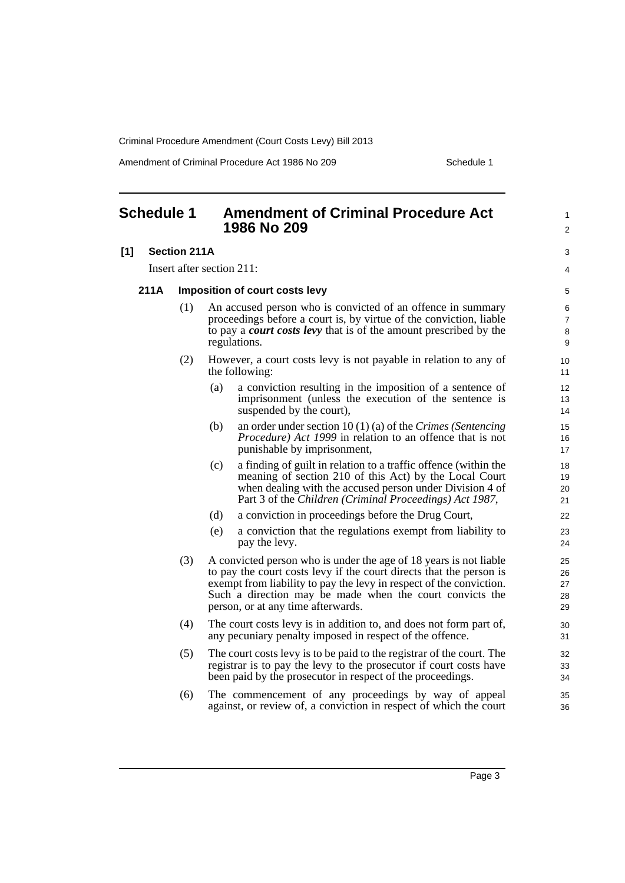Amendment of Criminal Procedure Act 1986 No 209 Schedule 1

1  $\overline{2}$ 

 $\overline{a}$ 4

#### <span id="page-8-0"></span>**Schedule 1 Amendment of Criminal Procedure Act 1986 No 209 [1] Section 211A** Insert after section 211: **211A Imposition of court costs levy**  (1) An accused person who is convicted of an offence in summary proceedings before a court is, by virtue of the conviction, liable to pay a *court costs levy* that is of the amount prescribed by the regulations. (2) However, a court costs levy is not payable in relation to any of the following: (a) a conviction resulting in the imposition of a sentence of imprisonment (unless the execution of the sentence is suspended by the court), (b) an order under section 10 (1) (a) of the *Crimes (Sentencing Procedure) Act 1999* in relation to an offence that is not punishable by imprisonment, (c) a finding of guilt in relation to a traffic offence (within the meaning of section 210 of this Act) by the Local Court when dealing with the accused person under Division 4 of Part 3 of the *Children (Criminal Proceedings) Act 1987*, (d) a conviction in proceedings before the Drug Court, (e) a conviction that the regulations exempt from liability to pay the levy. (3) A convicted person who is under the age of 18 years is not liable to pay the court costs levy if the court directs that the person is exempt from liability to pay the levy in respect of the conviction. Such a direction may be made when the court convicts the person, or at any time afterwards. (4) The court costs levy is in addition to, and does not form part of, any pecuniary penalty imposed in respect of the offence. (5) The court costs levy is to be paid to the registrar of the court. The registrar is to pay the levy to the prosecutor if court costs have been paid by the prosecutor in respect of the proceedings. (6) The commencement of any proceedings by way of appeal against, or review of, a conviction in respect of which the court 10 11 12 13 14 15 16 17 18 19 20 21 22 23 24 25 26 27 28 29 30 31 32 33 34 35 36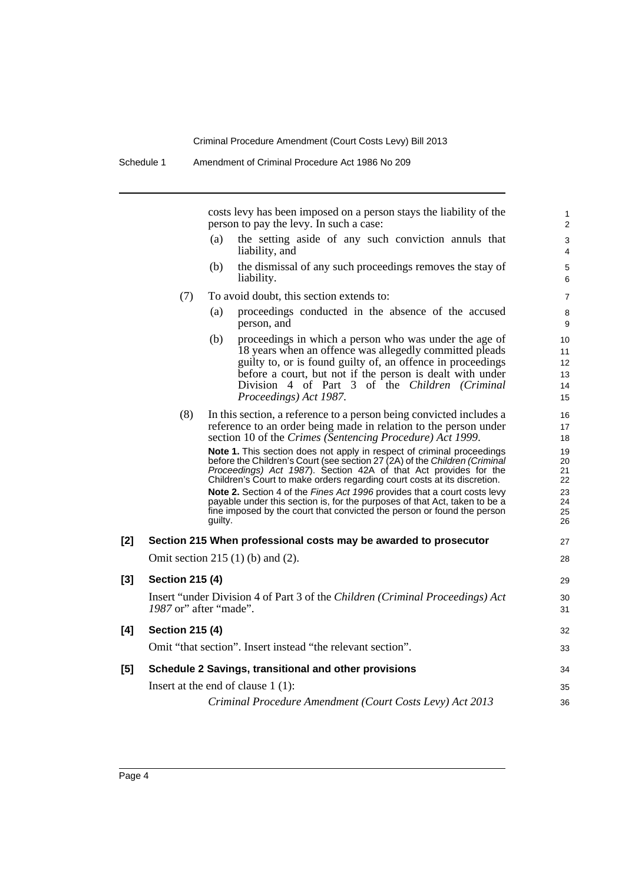costs levy has been imposed on a person stays the liability of the person to pay the levy. In such a case:

27 28

29

35 36

- (a) the setting aside of any such conviction annuls that liability, and
- (b) the dismissal of any such proceedings removes the stay of liability.
- (7) To avoid doubt, this section extends to:
	- (a) proceedings conducted in the absence of the accused person, and
	- (b) proceedings in which a person who was under the age of 18 years when an offence was allegedly committed pleads guilty to, or is found guilty of, an offence in proceedings before a court, but not if the person is dealt with under Division 4 of Part 3 of the *Children (Criminal Proceedings) Act 1987*.
- (8) In this section, a reference to a person being convicted includes a reference to an order being made in relation to the person under section 10 of the *Crimes (Sentencing Procedure) Act 1999*.

**Note 1.** This section does not apply in respect of criminal proceedings before the Children's Court (see section 27 (2A) of the *Children (Criminal Proceedings) Act 1987*). Section 42A of that Act provides for the Children's Court to make orders regarding court costs at its discretion.

**Note 2.** Section 4 of the *Fines Act 1996* provides that a court costs levy payable under this section is, for the purposes of that Act, taken to be a fine imposed by the court that convicted the person or found the person guilty.

### **[2] Section 215 When professional costs may be awarded to prosecutor** Omit section 215 (1) (b) and (2). **[3] Section 215 (4)**

Insert "under Division 4 of Part 3 of the *Children (Criminal Proceedings) Act 1987* or" after "made". **[4] Section 215 (4)** Omit "that section". Insert instead "the relevant section". **[5] Schedule 2 Savings, transitional and other provisions** 30 31 32 33  $34$ 

Insert at the end of clause 1 (1):

*Criminal Procedure Amendment (Court Costs Levy) Act 2013*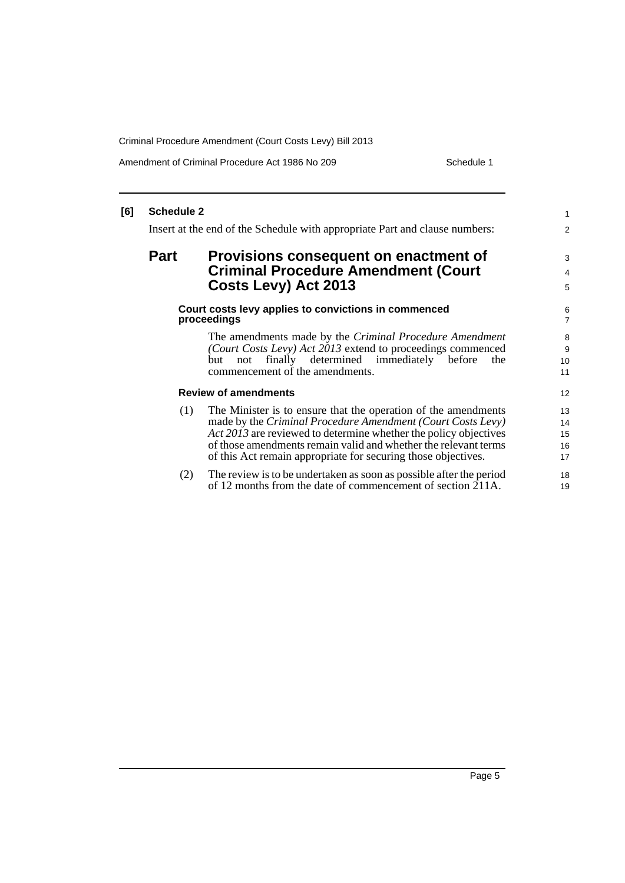Amendment of Criminal Procedure Act 1986 No 209 Schedule 1

#### **[6] Schedule 2** Insert at the end of the Schedule with appropriate Part and clause numbers: **Part Provisions consequent on enactment of Criminal Procedure Amendment (Court Costs Levy) Act 2013 Court costs levy applies to convictions in commenced proceedings** The amendments made by the *Criminal Procedure Amendment (Court Costs Levy) Act 2013* extend to proceedings commenced but not finally determined immediately before the commencement of the amendments. **Review of amendments** (1) The Minister is to ensure that the operation of the amendments made by the *Criminal Procedure Amendment (Court Costs Levy) Act 2013* are reviewed to determine whether the policy objectives of those amendments remain valid and whether the relevant terms of this Act remain appropriate for securing those objectives. (2) The review is to be undertaken as soon as possible after the period of 12 months from the date of commencement of section 211A. 1 2 3 4 5 6 7  $\Omega$ 9 10 11 12 13  $14$ 15 16 17 18 19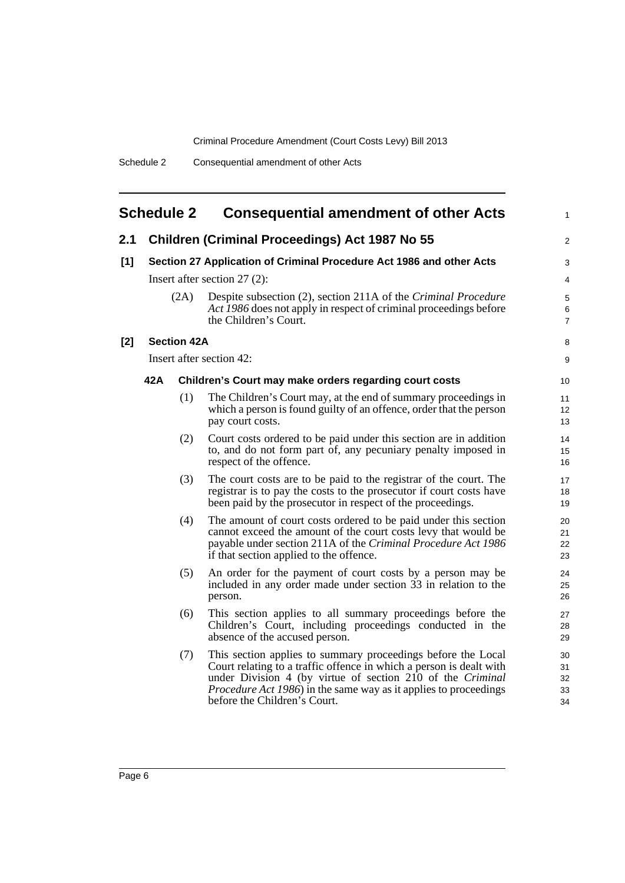## <span id="page-11-0"></span>**Schedule 2 Consequential amendment of other Acts**

1

| 2.1   |                          |                    | <b>Children (Criminal Proceedings) Act 1987 No 55</b>                                                                                                                                                                                                                                                         | $\overline{2}$              |
|-------|--------------------------|--------------------|---------------------------------------------------------------------------------------------------------------------------------------------------------------------------------------------------------------------------------------------------------------------------------------------------------------|-----------------------------|
| $[1]$ |                          |                    | Section 27 Application of Criminal Procedure Act 1986 and other Acts                                                                                                                                                                                                                                          | 3                           |
|       |                          |                    | Insert after section $27(2)$ :                                                                                                                                                                                                                                                                                | 4                           |
|       |                          | (2A)               | Despite subsection (2), section 211A of the Criminal Procedure<br>Act 1986 does not apply in respect of criminal proceedings before<br>the Children's Court.                                                                                                                                                  | 5<br>6<br>$\overline{7}$    |
| $[2]$ |                          | <b>Section 42A</b> |                                                                                                                                                                                                                                                                                                               | 8                           |
|       | Insert after section 42: |                    |                                                                                                                                                                                                                                                                                                               | 9                           |
|       | 42A                      |                    | Children's Court may make orders regarding court costs                                                                                                                                                                                                                                                        | 10                          |
|       |                          | (1)                | The Children's Court may, at the end of summary proceedings in<br>which a person is found guilty of an offence, order that the person<br>pay court costs.                                                                                                                                                     | 11<br>12 <sup>2</sup><br>13 |
|       |                          | (2)                | Court costs ordered to be paid under this section are in addition<br>to, and do not form part of, any pecuniary penalty imposed in<br>respect of the offence.                                                                                                                                                 | 14<br>15<br>16              |
|       |                          | (3)                | The court costs are to be paid to the registrar of the court. The<br>registrar is to pay the costs to the prosecutor if court costs have<br>been paid by the prosecutor in respect of the proceedings.                                                                                                        | 17<br>18<br>19              |
|       |                          | (4)                | The amount of court costs ordered to be paid under this section<br>cannot exceed the amount of the court costs levy that would be<br>payable under section 211A of the Criminal Procedure Act 1986<br>if that section applied to the offence.                                                                 | 20<br>21<br>22<br>23        |
|       |                          | (5)                | An order for the payment of court costs by a person may be<br>included in any order made under section 33 in relation to the<br>person.                                                                                                                                                                       | 24<br>25<br>26              |
|       |                          | (6)                | This section applies to all summary proceedings before the<br>Children's Court, including proceedings conducted in the<br>absence of the accused person.                                                                                                                                                      | 27<br>28<br>29              |
|       |                          | (7)                | This section applies to summary proceedings before the Local<br>Court relating to a traffic offence in which a person is dealt with<br>under Division 4 (by virtue of section 210 of the Criminal<br><i>Procedure Act 1986</i> ) in the same way as it applies to proceedings<br>before the Children's Court. | 30<br>31<br>32<br>33<br>34  |
|       |                          |                    |                                                                                                                                                                                                                                                                                                               |                             |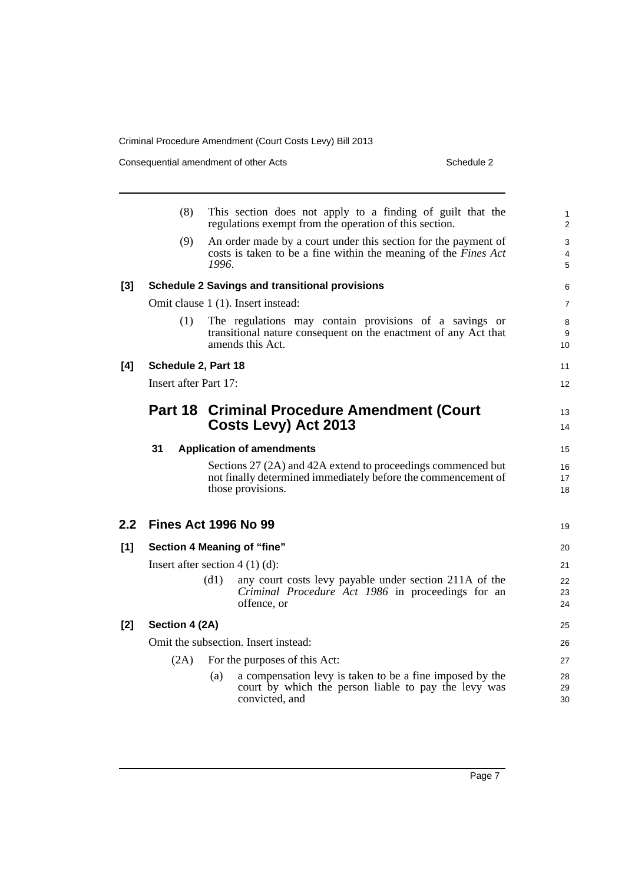Consequential amendment of other Acts Schedule 2

|       | (8)                                  | This section does not apply to a finding of guilt that the<br>regulations exempt from the operation of this section.                               | 1<br>$\overline{c}$ |
|-------|--------------------------------------|----------------------------------------------------------------------------------------------------------------------------------------------------|---------------------|
|       | (9)                                  | An order made by a court under this section for the payment of<br>costs is taken to be a fine within the meaning of the Fines Act<br>1996.         | 3<br>4<br>5         |
| $[3]$ |                                      | <b>Schedule 2 Savings and transitional provisions</b>                                                                                              | 6                   |
|       |                                      | Omit clause 1 (1). Insert instead:                                                                                                                 | 7                   |
|       | (1)                                  | The regulations may contain provisions of a savings or<br>transitional nature consequent on the enactment of any Act that<br>amends this Act.      | 8<br>9<br>10        |
| [4]   | Schedule 2, Part 18                  |                                                                                                                                                    | 11                  |
|       | Insert after Part 17:                |                                                                                                                                                    | 12                  |
|       |                                      | <b>Part 18 Criminal Procedure Amendment (Court</b><br>Costs Levy) Act 2013                                                                         | 13<br>14            |
|       | 31                                   | <b>Application of amendments</b>                                                                                                                   | 15                  |
|       |                                      | Sections 27 (2A) and 42A extend to proceedings commenced but<br>not finally determined immediately before the commencement of<br>those provisions. | 16<br>17<br>18      |
| 2.2   |                                      | <b>Fines Act 1996 No 99</b>                                                                                                                        | 19                  |
| [1]   |                                      | Section 4 Meaning of "fine"                                                                                                                        | 20                  |
|       |                                      | Insert after section $4(1)(d)$ :                                                                                                                   | 21                  |
|       |                                      | (d1)<br>any court costs levy payable under section 211A of the<br>Criminal Procedure Act 1986 in proceedings for an<br>offence, or                 | 22<br>23<br>24      |
| $[2]$ | Section 4 (2A)                       |                                                                                                                                                    |                     |
|       | Omit the subsection. Insert instead: |                                                                                                                                                    |                     |
|       | (2A)                                 | For the purposes of this Act:                                                                                                                      | 27                  |
|       |                                      | a compensation levy is taken to be a fine imposed by the<br>(a)<br>court by which the person liable to pay the levy was<br>convicted, and          | 28<br>29<br>30      |
|       |                                      |                                                                                                                                                    |                     |